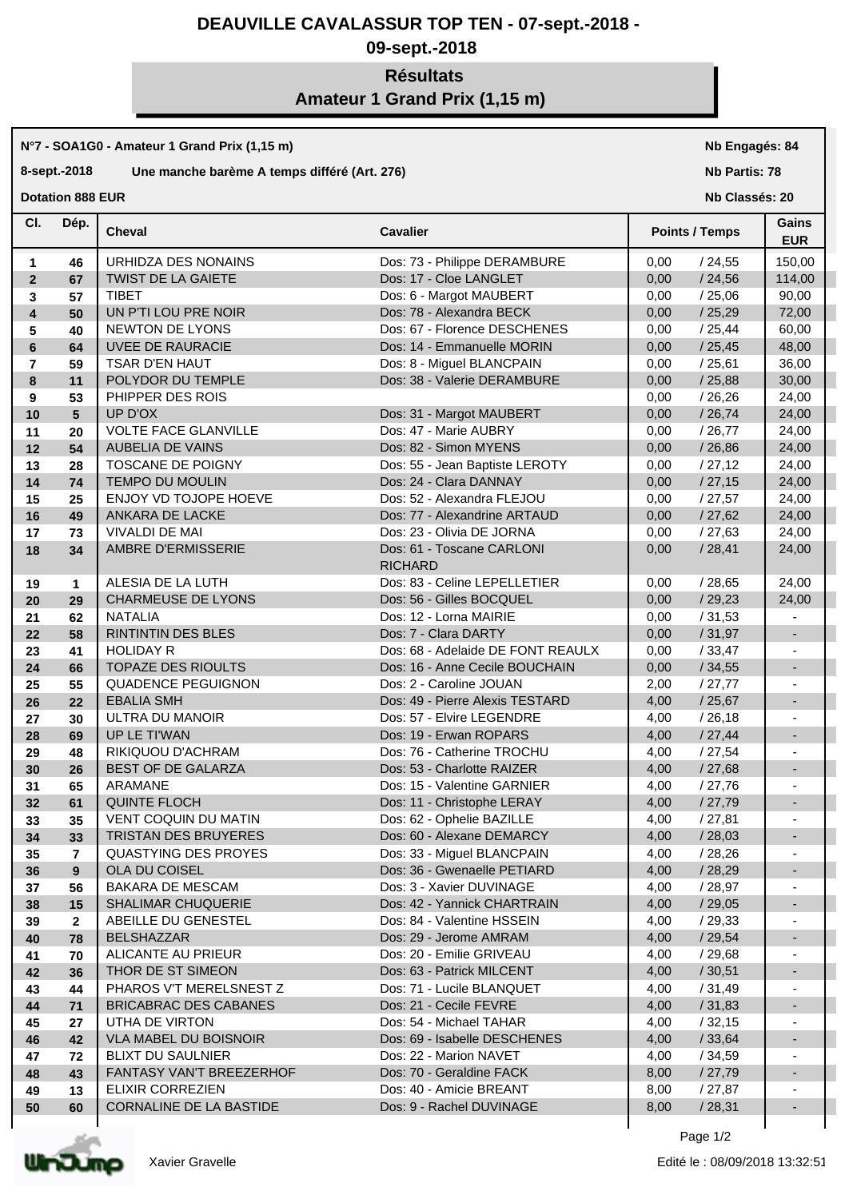## **DEAUVILLE CAVALASSUR TOP TEN - 07-sept.-2018 -**

# **09-sept.-2018**

# **Résultats Amateur 1 Grand Prix (1,15 m)**

### **N°7 - SOA1G0 - Amateur 1 Grand Prix (1,15 m)**

### **8-sept.-2018 Une manche barème A temps différé (Art. 276)**

**Dotation 888 EUR** 

**Nb Engagés: 84**

**Nb Partis: 78**

**Nb Classés: 20** 

| CI.            | Dép.            | Cheval                       | <b>Cavalier</b>                             | <b>Points / Temps</b> | Gains<br><b>EUR</b>          |
|----------------|-----------------|------------------------------|---------------------------------------------|-----------------------|------------------------------|
| 1              | 46              | URHIDZA DES NONAINS          | Dos: 73 - Philippe DERAMBURE                | 0,00<br>/24,55        | 150,00                       |
| $\overline{2}$ | 67              | <b>TWIST DE LA GAIETE</b>    | Dos: 17 - Cloe LANGLET                      | 0,00<br>/24,56        | 114,00                       |
| 3              | 57              | <b>TIBET</b>                 | Dos: 6 - Margot MAUBERT                     | 0,00<br>/25,06        | 90,00                        |
| 4              | 50              | UN P'TI LOU PRE NOIR         | Dos: 78 - Alexandra BECK                    | /25,29<br>0,00        | 72,00                        |
| 5              | 40              | NEWTON DE LYONS              | Dos: 67 - Florence DESCHENES                | /25,44<br>0,00        | 60,00                        |
| 6              | 64              | UVEE DE RAURACIE             | Dos: 14 - Emmanuelle MORIN                  | /25,45<br>0,00        | 48,00                        |
| $\overline{7}$ | 59              | TSAR D'EN HAUT               | Dos: 8 - Miguel BLANCPAIN                   | /25,61<br>0,00        | 36,00                        |
| 8              | 11              | POLYDOR DU TEMPLE            | Dos: 38 - Valerie DERAMBURE                 | /25,88<br>0,00        | 30,00                        |
| 9              | 53              | PHIPPER DES ROIS             |                                             | /26,26<br>0,00        | 24,00                        |
| 10             | $5\phantom{.0}$ | UP D'OX                      | Dos: 31 - Margot MAUBERT                    | /26,74<br>0,00        | 24,00                        |
| 11             | 20              | <b>VOLTE FACE GLANVILLE</b>  | Dos: 47 - Marie AUBRY                       | 0,00<br>/26,77        | 24,00                        |
| 12             | 54              | <b>AUBELIA DE VAINS</b>      | Dos: 82 - Simon MYENS                       | 0,00<br>/26,86        | 24,00                        |
| 13             | 28              | TOSCANE DE POIGNY            | Dos: 55 - Jean Baptiste LEROTY              | 0,00<br>/27,12        | 24,00                        |
| 14             | 74              | TEMPO DU MOULIN              | Dos: 24 - Clara DANNAY                      | /27,15<br>0,00        | 24,00                        |
| 15             | 25              | ENJOY VD TOJOPE HOEVE        | Dos: 52 - Alexandra FLEJOU                  | /27,57<br>0,00        | 24,00                        |
| 16             | 49              | ANKARA DE LACKE              | Dos: 77 - Alexandrine ARTAUD                | 0,00<br>/27,62        | 24,00                        |
| 17             | 73              | <b>VIVALDI DE MAI</b>        | Dos: 23 - Olivia DE JORNA                   | /27,63<br>0,00        | 24,00                        |
| 18             | 34              | AMBRE D'ERMISSERIE           | Dos: 61 - Toscane CARLONI<br><b>RICHARD</b> | /28,41<br>0,00        | 24,00                        |
| 19             | $\mathbf{1}$    | ALESIA DE LA LUTH            | Dos: 83 - Celine LEPELLETIER                | /28,65<br>0,00        | 24,00                        |
| 20             | 29              | <b>CHARMEUSE DE LYONS</b>    | Dos: 56 - Gilles BOCQUEL                    | 0,00<br>/29,23        | 24,00                        |
| 21             | 62              | <b>NATALIA</b>               | Dos: 12 - Lorna MAIRIE                      | 0,00<br>/31,53        |                              |
| 22             | 58              | <b>RINTINTIN DES BLES</b>    | Dos: 7 - Clara DARTY                        | /31,97<br>0,00        |                              |
| 23             | 41              | <b>HOLIDAY R</b>             | Dos: 68 - Adelaide DE FONT REAULX           | 0,00<br>/33,47        |                              |
| 24             | 66              | <b>TOPAZE DES RIOULTS</b>    | Dos: 16 - Anne Cecile BOUCHAIN              | /34,55<br>0,00        | $\overline{\phantom{a}}$     |
| 25             | 55              | QUADENCE PEGUIGNON           | Dos: 2 - Caroline JOUAN                     | 2,00<br>/27,77        |                              |
| 26             | 22              | <b>EBALIA SMH</b>            | Dos: 49 - Pierre Alexis TESTARD             | /25,67<br>4,00        | $\overline{\phantom{a}}$     |
| 27             | 30              | ULTRA DU MANOIR              | Dos: 57 - Elvire LEGENDRE                   | 4,00<br>/26,18        |                              |
| 28             | 69              | UP LE TI'WAN                 | Dos: 19 - Erwan ROPARS                      | 4,00<br>/27,44        | $\overline{\phantom{a}}$     |
| 29             | 48              | RIKIQUOU D'ACHRAM            | Dos: 76 - Catherine TROCHU                  | 4,00<br>/27,54        |                              |
| 30             | 26              | BEST OF DE GALARZA           | Dos: 53 - Charlotte RAIZER                  | 4,00<br>/27,68        | $\overline{\phantom{a}}$     |
| 31             | 65              | ARAMANE                      | Dos: 15 - Valentine GARNIER                 | 4,00<br>/27,76        | $\overline{\phantom{a}}$     |
| 32             | 61              | <b>QUINTE FLOCH</b>          | Dos: 11 - Christophe LERAY                  | 4,00<br>/27,79        | $\overline{\phantom{a}}$     |
| 33             | 35              | <b>VENT COQUIN DU MATIN</b>  | Dos: 62 - Ophelie BAZILLE                   | 4,00<br>/27,81        | $\overline{\phantom{a}}$     |
| 34             | 33              | TRISTAN DES BRUYERES         | Dos: 60 - Alexane DEMARCY                   | 4,00<br>/28,03        | $\overline{\phantom{m}}$     |
| 35             | $\overline{7}$  | <b>QUASTYING DES PROYES</b>  | Dos: 33 - Miguel BLANCPAIN                  | 4,00<br>/28,26        |                              |
| 36             | 9               | OLA DU COISEL                | Dos: 36 - Gwenaelle PETIARD                 | /28,29<br>4,00        | $\qquad \qquad \blacksquare$ |
| 37             | 56              | <b>BAKARA DE MESCAM</b>      | Dos: 3 - Xavier DUVINAGE                    | 4,00<br>/ 28,97       |                              |
| 38             | 15              | <b>SHALIMAR CHUQUERIE</b>    | Dos: 42 - Yannick CHARTRAIN                 | 4,00<br>/29,05        |                              |
| 39             | $\mathbf{2}$    | ABEILLE DU GENESTEL          | Dos: 84 - Valentine HSSEIN                  | 4,00<br>/29,33        |                              |
| 40             | 78              | <b>BELSHAZZAR</b>            | Dos: 29 - Jerome AMRAM                      | 4,00<br>/29,54        |                              |
| 41             | 70              | ALICANTE AU PRIEUR           | Dos: 20 - Emilie GRIVEAU                    | 4,00<br>/ 29,68       |                              |
| 42             | 36              | THOR DE ST SIMEON            | Dos: 63 - Patrick MILCENT                   | 4,00<br>/30,51        |                              |
| 43             | 44              | PHAROS V'T MERELSNEST Z      | Dos: 71 - Lucile BLANQUET                   | 4,00<br>/ 31,49       |                              |
| 44             | 71              | <b>BRICABRAC DES CABANES</b> | Dos: 21 - Cecile FEVRE                      | 4,00<br>/31,83        |                              |
| 45             | 27              | UTHA DE VIRTON               | Dos: 54 - Michael TAHAR                     | 4,00<br>/32,15        |                              |
| 46             | 42              | <b>VLA MABEL DU BOISNOIR</b> | Dos: 69 - Isabelle DESCHENES                | 4,00<br>/33,64        |                              |
| 47             | 72              | <b>BLIXT DU SAULNIER</b>     | Dos: 22 - Marion NAVET                      | 4,00<br>/34,59        |                              |
| 48             | 43              | FANTASY VAN'T BREEZERHOF     | Dos: 70 - Geraldine FACK                    | 8,00<br>/27,79        |                              |
| 49             | 13              | ELIXIR CORREZIEN             | Dos: 40 - Amicie BREANT                     | 8,00<br>/ 27,87       |                              |
| 50             | 60              | CORNALINE DE LA BASTIDE      | Dos: 9 - Rachel DUVINAGE                    | 8,00<br>/28,31        |                              |
|                |                 |                              |                                             |                       |                              |